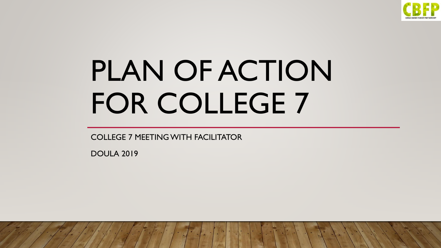

# PLAN OF ACTION FOR COLLEGE 7

COLLEGE 7 MEETING WITH FACILITATOR

DOULA 2019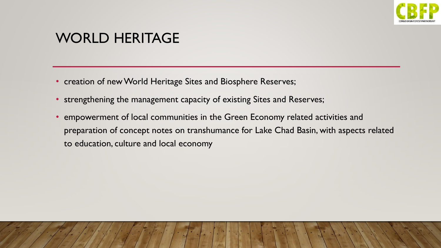

#### WORLD HERITAGE

- creation of new World Heritage Sites and Biosphere Reserves;
- strengthening the management capacity of existing Sites and Reserves;
- empowerment of local communities in the Green Economy related activities and preparation of concept notes on transhumance for Lake Chad Basin, with aspects related to education, culture and local economy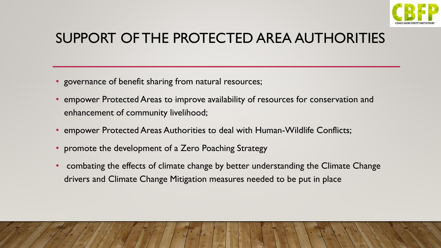

# SUPPORT OF THE PROTECTED AREA AUTHORITIES

- governance of benefit sharing from natural resources;
- empower Protected Areas to improve availability of resources for conservation and enhancement of community livelihood;
- empower Protected Areas Authorities to deal with Human-Wildlife Conflicts;
- promote the development of a Zero Poaching Strategy
- combating the effects of climate change by better understanding the Climate Change drivers and Climate Change Mitigation measures needed to be put in place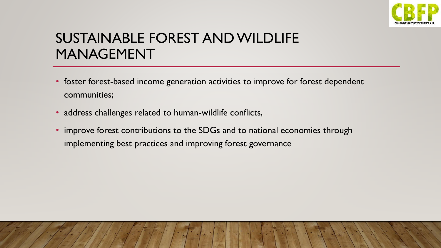

# SUSTAINABLE FOREST AND WILDLIFE MANAGEMENT

- foster forest-based income generation activities to improve for forest dependent communities;
- address challenges related to human-wildlife conflicts,
- improve forest contributions to the SDGs and to national economies through implementing best practices and improving forest governance